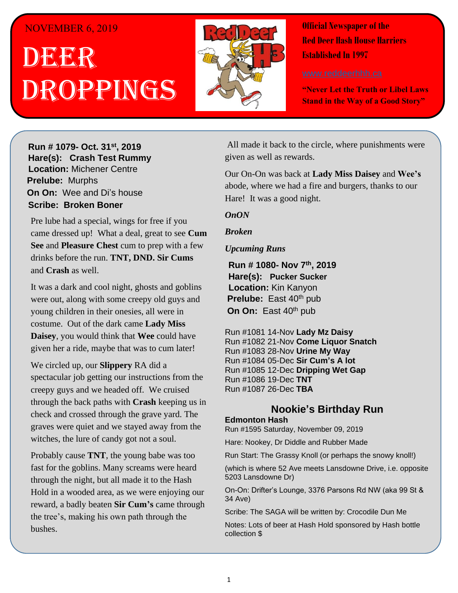## NOVEMBER 6, 2019

# . 1 DEER h  $\overline{\phantom{a}}$ OPPINGS



**Official Newspaper of the Red Deer Hash House Harriers Established In 1997** 

**"Never Let the Truth or Libel Laws Stand in the Way of a Good Story"**

**H**arely **Run # 1079-** Oct. 31<sup>st</sup>, 2019 **Hare(s): Crash Test Rummy Location: Michener Centre Prelube: Murphs On On:** Wee and Di's house **Sir Unit Web and Brown** *Have you ever for a hard day of a hard day of a hard day of a hard day of a hard day of a hard day of a hard day of a hard day of a hard day of a hard day of a hard day of a hard day of a hard day of a hard day of a hard* 

Pre lube had a special, wings for free if you *possibly go for a run?* came dressed up! What a deal, great to see **Cum**  drinks before the run. **TNT, DND. Sir Cums** to be some of my friends out at State and Main and Main and Main and State and State and Main and State and State and State and State and State and State and State and State and State and State and State and State and Stat **See** and **Pleasure Chest** cum to prep with a few

It was a dark and cool night, ghosts and goblins were out, along with some creepy old guys and young children in their onesies, all were in costume. Out of the dark came **Lady Miss Daisey**, you would think that Wee could have given her a ride, maybe that was to cum later!

We circled up, our **Slippery** RA did a spectacular job getting our instructions from the *shirt based on those comments to assist themselves in*  creepy guys and we headed off. We cruised *daily self-improvement?* through the back paths with **Crash** keeping us in graves were quiet and we stayed away from the witches, the lure of candy got not a soul. check and crossed through the grave yard. The

Probably cause TNT, the young babe was too fast for the goblins. Many screams were heard through the night, but all made it to the Hash Hold in a wooded area, as we were enjoying our reward, a badly beaten **Sir Cum's** came through the tree's, making his own path through the bushes.

All made it back to the circle, where punishments were *the preduce is preduced in the preduced in the run in the run in the run in the run in the run in the run in the run in the run in the run in the run in the run in the run in the run in the run in the run in the run in t* 

*its fucking colder than shit?* Our On-On was back at **Lady Miss Daisey** and **Wee's** abode, where we had a fire and burgers, thanks to our shorts and a  $\mathcal{G}$  and  $\mathcal{G}$  is the run I was interested to the run I was interested to the run I was interested to the run I was interested to the run I was interested to the run I was interested to the run I was i Hare! It was a good night.

#### $\mathbf{z}$  scrape of cloth or rag to paste on  $\mathbf{z}$  and  $\mathbf{z}$  and  $\mathbf{z}$  or rag to paste on  $\mathbf{z}$ *OnON*

#### **my body as the wind was biting. We aring two**  $\tan \theta$ *Broken*

## *Upcuming Runs Upcuming Runs*

**Boner** wore shorts. **Run # 1080- Nov 7 th, 2019** *Have you ever started a run and thought – The walkers*  **Hare(s): Pucker Sucker Prelube:** East 40<sup>th</sup> pub go straight to the Hash **Fash** *But go straight* to the Hash *Prelube: Hold Concertibility see and drink beer the whole time in the whole time values* $\mathbb{R}^n$ **Location:** Kin Kanyon

*while the runners run.* Run #1081 14-Nov **Lady Mz Daisy** Run #1082 21-Nov **Come Liquor Snatch**<br>Run #1082 20 Nov Uring **Ma Way** Run #1084 05-Dec **Sir Cum's A lot** Run #1085 12-Dec **Dripping Wet Gap**<br>Run #1086 13-Dec **TNT** abode.update: I saw them on the run so guilt in the run so guilt in the run so guilt in the run so guilt in the run so guilt in the run so guilt in the run so guilt in the run so guilt in the run so guilt in the run so gui Run #1083 28-Nov **Urine My Way** Run #1086 19-Dec **TNT** 

# **Nookie's Birthday Run**

## *Have you ever been on a Hash Trail with so much flour*  **Edmonton Hash**

Run #1595 Saturday, November 09, 2019

*put down that you know if you set one there 4 weeks*  Hare: Nookey, Dr Diddle and Rubber Made

*later you likely wouldn't need to buy any because the*  Run Start: The Grassy Knoll (or perhaps the snowy knoll!)

(which is where 52 Ave meets Lansdowne Drive, i.e. opposite 5203 Lansdowne Dr)

On-On: Drifter's Lounge, 3376 Parsons Rd NW (aka 99 St & flower down on this run that we saw some homeless  $\mathcal{A}$  and we saw some homeless  $\mathcal{A}$ 34 Ave)

Scribe: The SAGA will be written by: Crocodile Dun Me

Notes: Lots of beer at Hash Hold sponsored by Hash bottle and stirring for the stirring form of the stirring for collection \$